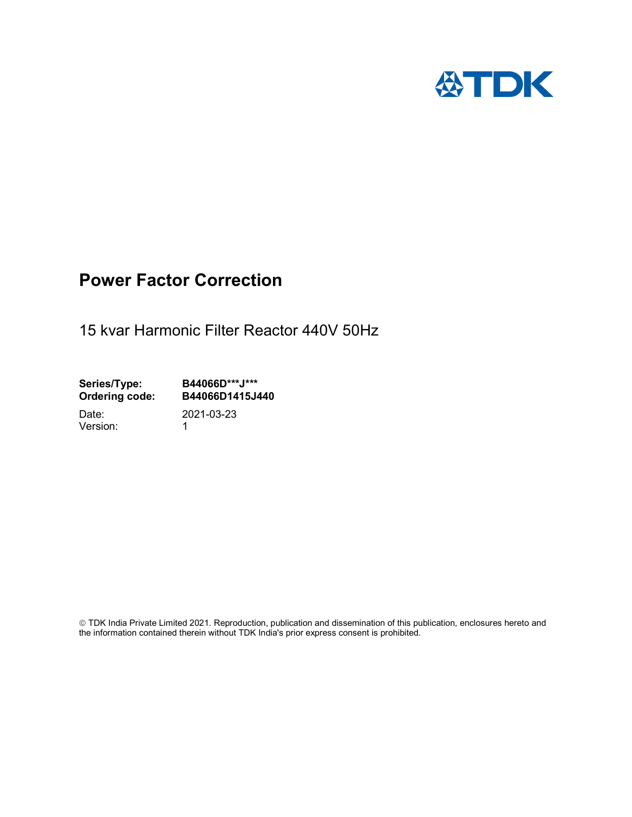

## Power Factor Correction

15 kvar Harmonic Filter Reactor 440V 50Hz

Series/Type: B44066D\*\*\*J\*\*\*<br>Ordering code: B44066D1415J4 B44066D1415J440 Date: 2021-03-23

Version: 1

 TDK India Private Limited 2021. Reproduction, publication and dissemination of this publication, enclosures hereto and the information contained therein without TDK India's prior express consent is prohibited.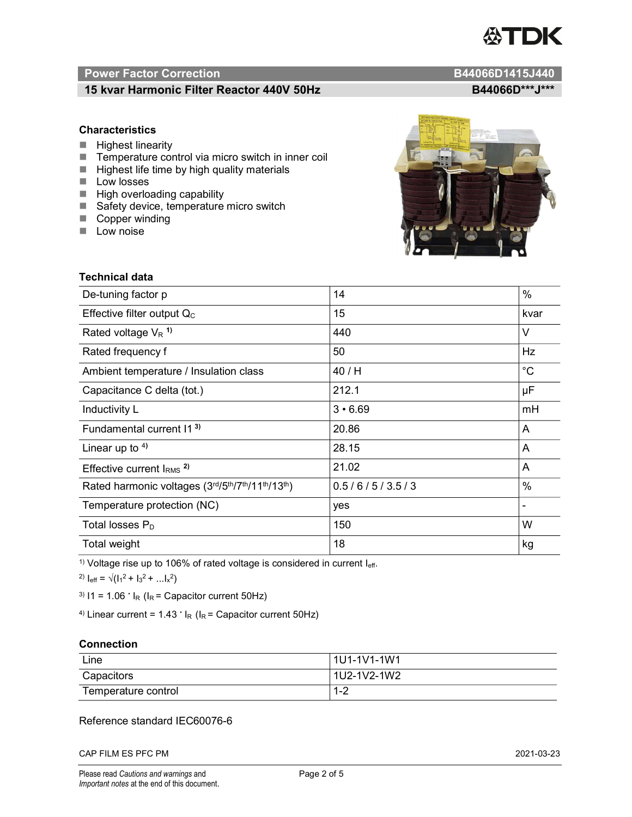# TDK

### Power Factor Correction and Content of Content of Content of Content of Content of Content of Content of Content of Content of Content of Content of Content of Content of Content of Content of Content of Content of Content

#### 15 kvar Harmonic Filter Reactor 440V 50Hz B44066D\*\*\*J\*\*\* B44066D\*\*\*J\*\*\*

#### **Characteristics**

- $\blacksquare$  Highest linearity
- Temperature control via micro switch in inner coil
- $\blacksquare$  Highest life time by high quality materials
- **Low losses**
- $\blacksquare$  High overloading capability
- Safety device, temperature micro switch
- Copper winding
- **Low noise**



| <b>Technical data</b>                           |                |                          |  |
|-------------------------------------------------|----------------|--------------------------|--|
| De-tuning factor p                              | 14             | %                        |  |
| Effective filter output $Q_C$                   | 15             | kvar                     |  |
| Rated voltage $V_R$ <sup>1)</sup>               | 440            | V                        |  |
| Rated frequency f                               | 50             | Hz                       |  |
| Ambient temperature / Insulation class          | 40 / H         | $^{\circ}C$              |  |
| Capacitance C delta (tot.)                      | 212.1          | μF                       |  |
| Inductivity L                                   | $3 \cdot 6.69$ | mH                       |  |
| Fundamental current 11 <sup>3)</sup>            | 20.86          | A                        |  |
| Linear up to $4$ )                              | 28.15          | A                        |  |
| Effective current $IRMS$ <sup>2)</sup>          | 21.02          | A                        |  |
| Rated harmonic voltages (3rd/5th/7th/11th/13th) | 0.5/6/5/3.5/3  | %                        |  |
| Temperature protection (NC)                     | yes            | $\overline{\phantom{a}}$ |  |
| Total losses $P_D$                              | 150            | W                        |  |
| Total weight                                    | 18             | kg                       |  |

<sup>1)</sup> Voltage rise up to 106% of rated voltage is considered in current  $I_{\text{eff}}$ .

<sup>2)</sup>  $I_{eff} = \sqrt{(I_1^2 + I_3^2 + ... I_x^2)}$ 

<sup>3)</sup>  $11 = 1.06$   $\cdot$   $I_R$  ( $I_R$  = Capacitor current 50Hz)

<sup>4)</sup> Linear current =  $1.43$   $\cdot$  I<sub>R</sub> (I<sub>R</sub> = Capacitor current 50Hz)

#### **Connection**

| Line                | l 1U1-1V1-1W1       |
|---------------------|---------------------|
| Capacitors          | l 1U2-1V2-1W2       |
| Temperature control | <u> 4 ຕ</u><br>ے- ا |

#### Reference standard IEC60076-6

CAP FILM ES PFC PM 2021-03-23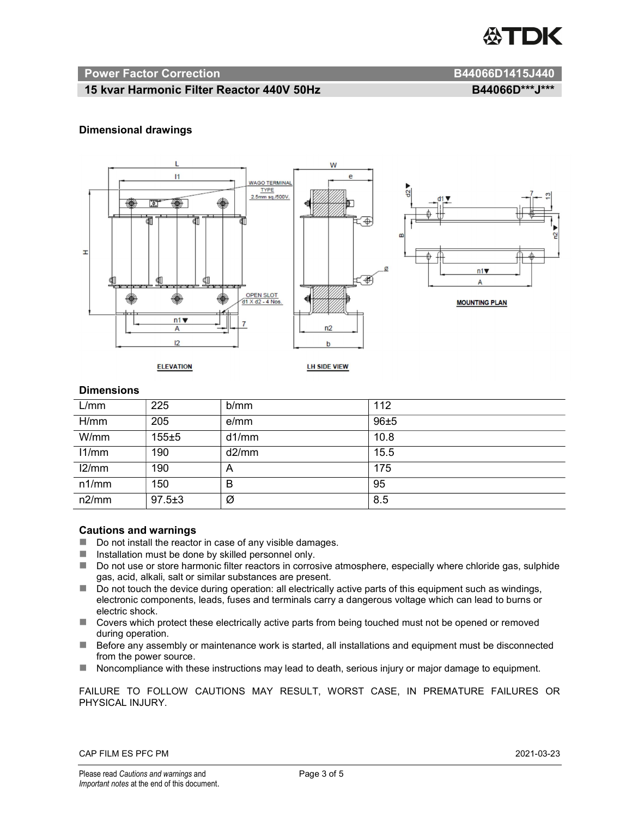

#### Power Factor Correction and B44066D1415J440

#### 15 kvar Harmonic Filter Reactor 440V 50Hz B44066D\*\*\*J\*\*\* B44066D\*\*\*J\*\*\*

#### Dimensional drawings



#### **Dimensions**

| L/mm  | 225          | b/mm  | 112  |
|-------|--------------|-------|------|
| H/mm  | 205          | e/mm  | 96±5 |
| W/mm  | $155 + 5$    | d1/mm | 10.8 |
| 11/mm | 190          | d2/mm | 15.5 |
| 12/mm | 190          | A     | 175  |
| n1/mm | 150          | B     | 95   |
| n2/mm | $97.5 \pm 3$ | Ø     | 8.5  |

#### Cautions and warnings

- Do not install the reactor in case of any visible damages.
- $\blacksquare$  Installation must be done by skilled personnel only.
- Do not use or store harmonic filter reactors in corrosive atmosphere, especially where chloride gas, sulphide gas, acid, alkali, salt or similar substances are present.
- $\Box$  Do not touch the device during operation: all electrically active parts of this equipment such as windings, electronic components, leads, fuses and terminals carry a dangerous voltage which can lead to burns or electric shock.
- Covers which protect these electrically active parts from being touched must not be opened or removed during operation.
- Before any assembly or maintenance work is started, all installations and equipment must be disconnected from the power source.
- Noncompliance with these instructions may lead to death, serious injury or major damage to equipment.

FAILURE TO FOLLOW CAUTIONS MAY RESULT, WORST CASE, IN PREMATURE FAILURES OR PHYSICAL INJURY.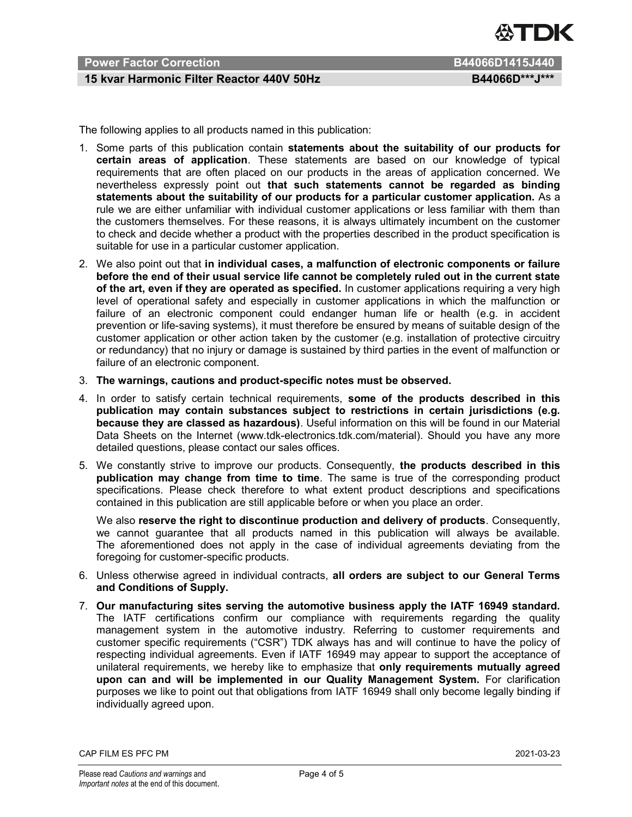

#### Power Factor Correction **B44066D1415J440**

#### 15 kvar Harmonic Filter Reactor 440V 50Hz B44066D\*\*\*J\*\*\*

The following applies to all products named in this publication:

- 1. Some parts of this publication contain statements about the suitability of our products for certain areas of application. These statements are based on our knowledge of typical requirements that are often placed on our products in the areas of application concerned. We nevertheless expressly point out that such statements cannot be regarded as binding statements about the suitability of our products for a particular customer application. As a rule we are either unfamiliar with individual customer applications or less familiar with them than the customers themselves. For these reasons, it is always ultimately incumbent on the customer to check and decide whether a product with the properties described in the product specification is suitable for use in a particular customer application.
- 2. We also point out that in individual cases, a malfunction of electronic components or failure before the end of their usual service life cannot be completely ruled out in the current state of the art, even if they are operated as specified. In customer applications requiring a very high level of operational safety and especially in customer applications in which the malfunction or failure of an electronic component could endanger human life or health (e.g. in accident prevention or life-saving systems), it must therefore be ensured by means of suitable design of the customer application or other action taken by the customer (e.g. installation of protective circuitry or redundancy) that no injury or damage is sustained by third parties in the event of malfunction or failure of an electronic component.
- 3. The warnings, cautions and product-specific notes must be observed.
- 4. In order to satisfy certain technical requirements, some of the products described in this publication may contain substances subject to restrictions in certain jurisdictions (e.g. because they are classed as hazardous). Useful information on this will be found in our Material Data Sheets on the Internet (www.tdk-electronics.tdk.com/material). Should you have any more detailed questions, please contact our sales offices.
- 5. We constantly strive to improve our products. Consequently, the products described in this publication may change from time to time. The same is true of the corresponding product specifications. Please check therefore to what extent product descriptions and specifications contained in this publication are still applicable before or when you place an order.

We also reserve the right to discontinue production and delivery of products. Consequently, we cannot guarantee that all products named in this publication will always be available. The aforementioned does not apply in the case of individual agreements deviating from the foregoing for customer-specific products.

- 6. Unless otherwise agreed in individual contracts, all orders are subject to our General Terms and Conditions of Supply.
- 7. Our manufacturing sites serving the automotive business apply the IATF 16949 standard. The IATF certifications confirm our compliance with requirements regarding the quality management system in the automotive industry. Referring to customer requirements and customer specific requirements ("CSR") TDK always has and will continue to have the policy of respecting individual agreements. Even if IATF 16949 may appear to support the acceptance of unilateral requirements, we hereby like to emphasize that only requirements mutually agreed upon can and will be implemented in our Quality Management System. For clarification purposes we like to point out that obligations from IATF 16949 shall only become legally binding if individually agreed upon.